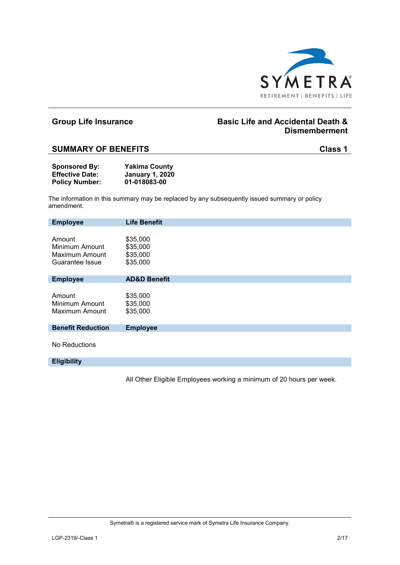

## **Group Life Insurance Basic Life and Accidental Death & Dismemberment**

### **SUMMARY OF BENEFITS Class 1**

| <b>Sponsored By:</b>   | <b>Yakima County</b>   |
|------------------------|------------------------|
| <b>Effective Date:</b> | <b>January 1, 2020</b> |
| <b>Policy Number:</b>  | 01-018083-00           |

The information in this summary may be replaced by any subsequently issued summary or policy amendment.

| <b>Employee</b>          | <b>Life Benefit</b>     |
|--------------------------|-------------------------|
|                          |                         |
| Amount                   | \$35,000                |
| Minimum Amount           | \$35,000                |
| Maximum Amount           | \$35,000                |
| Guarantee Issue          | \$35,000                |
|                          |                         |
| <b>Employee</b>          | <b>AD&amp;D Benefit</b> |
|                          |                         |
| Amount                   | \$35,000                |
| Minimum Amount           | \$35,000                |
| Maximum Amount           | \$35,000                |
|                          |                         |
| <b>Benefit Reduction</b> | <b>Employee</b>         |
|                          |                         |
| No Reductions            |                         |
|                          |                         |
| <b>Eligibility</b>       |                         |

All Other Eligible Employees working a minimum of 20 hours per week.